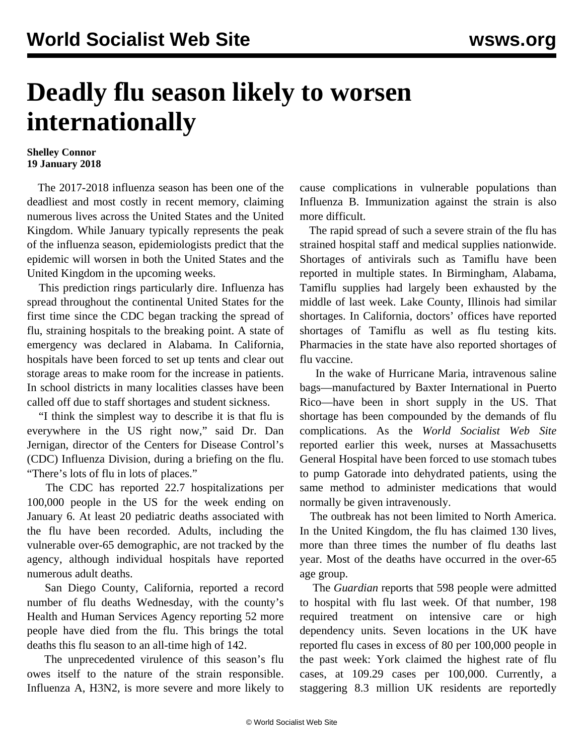## **Deadly flu season likely to worsen internationally**

## **Shelley Connor 19 January 2018**

 The 2017-2018 influenza season has been one of the deadliest and most costly in recent memory, claiming numerous lives across the United States and the United Kingdom. While January typically represents the peak of the influenza season, epidemiologists predict that the epidemic will worsen in both the United States and the United Kingdom in the upcoming weeks.

 This prediction rings particularly dire. Influenza has spread throughout the continental United States for the first time since the CDC began tracking the spread of flu, straining hospitals to the breaking point. A state of emergency was declared in Alabama. In California, hospitals have been forced to set up tents and clear out storage areas to make room for the increase in patients. In school districts in many localities classes have been called off due to staff shortages and student sickness.

 "I think the simplest way to describe it is that flu is everywhere in the US right now," said Dr. Dan Jernigan, director of the Centers for Disease Control's (CDC) Influenza Division, during a briefing on the flu. "There's lots of flu in lots of places."

 The CDC has reported 22.7 hospitalizations per 100,000 people in the US for the week ending on January 6. At least 20 pediatric deaths associated with the flu have been recorded. Adults, including the vulnerable over-65 demographic, are not tracked by the agency, although individual hospitals have reported numerous adult deaths.

 San Diego County, California, reported a record number of flu deaths Wednesday, with the county's Health and Human Services Agency reporting 52 more people have died from the flu. This brings the total deaths this flu season to an all-time high of 142.

 The unprecedented virulence of this season's flu owes itself to the nature of the strain responsible. Influenza A, H3N2, is more severe and more likely to cause complications in vulnerable populations than Influenza B. Immunization against the strain is also more difficult.

 The rapid spread of such a severe strain of the flu has strained hospital staff and medical supplies nationwide. Shortages of antivirals such as Tamiflu have been reported in multiple states. In Birmingham, Alabama, Tamiflu supplies had largely been exhausted by the middle of last week. Lake County, Illinois had similar shortages. In California, doctors' offices have reported shortages of Tamiflu as well as flu testing kits. Pharmacies in the state have also reported shortages of flu vaccine.

 In the wake of Hurricane Maria, intravenous saline bags—manufactured by Baxter International in Puerto Rico—have been in short supply in the US. That shortage has been compounded by the demands of flu complications. As the *World Socialist Web Site* reported earlier this week, nurses at Massachusetts General Hospital have been forced to use stomach tubes to pump Gatorade into dehydrated patients, using the same method to administer medications that would normally be given intravenously.

 The outbreak has not been limited to North America. In the United Kingdom, the flu has claimed 130 lives, more than three times the number of flu deaths last year. Most of the deaths have occurred in the over-65 age group.

 The *Guardian* reports that 598 people were admitted to hospital with flu last week. Of that number, 198 required treatment on intensive care or high dependency units. Seven locations in the UK have reported flu cases in excess of 80 per 100,000 people in the past week: York claimed the highest rate of flu cases, at 109.29 cases per 100,000. Currently, a staggering 8.3 million UK residents are reportedly